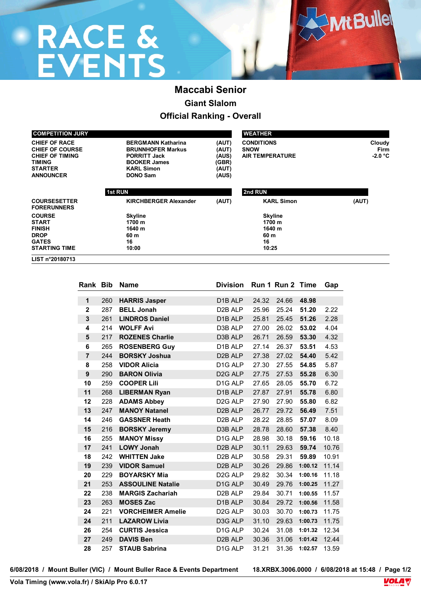# **RACE &<br>EVENTS**

### **Maccabi Senior Giant Slalom Official Ranking - Overall**

| <b>COMPETITION JURY</b>                                                                                                  |                                                                                                                                             |                                                    | <b>WEATHER</b>                                             |                                    |
|--------------------------------------------------------------------------------------------------------------------------|---------------------------------------------------------------------------------------------------------------------------------------------|----------------------------------------------------|------------------------------------------------------------|------------------------------------|
| <b>CHIEF OF RACE</b><br><b>CHIEF OF COURSE</b><br><b>CHIEF OF TIMING</b><br>TIMING<br><b>STARTER</b><br><b>ANNOUNCER</b> | <b>BERGMANN Katharina</b><br><b>BRUNNHOFER Markus</b><br><b>PORRITT Jack</b><br><b>BOOKER James</b><br><b>KARL Simon</b><br><b>DONO Sam</b> | (AUT)<br>(AUT)<br>(AUS)<br>(GBR)<br>(AUT)<br>(AUS) | <b>CONDITIONS</b><br><b>SNOW</b><br><b>AIR TEMPERATURE</b> | Cloudy<br><b>Firm</b><br>$-2.0 °C$ |
|                                                                                                                          | <b>1st RUN</b>                                                                                                                              |                                                    | 2nd RUN                                                    |                                    |
| <b>COURSESETTER</b><br><b>FORERUNNERS</b>                                                                                | <b>KIRCHBERGER Alexander</b>                                                                                                                | (AUT)                                              | <b>KARL Simon</b>                                          | (AUT)                              |
| <b>COURSE</b>                                                                                                            | <b>Skyline</b>                                                                                                                              |                                                    | <b>Skyline</b>                                             |                                    |
| <b>START</b>                                                                                                             | 1700 m                                                                                                                                      |                                                    | 1700 m                                                     |                                    |
| <b>FINISH</b>                                                                                                            | 1640 m                                                                                                                                      |                                                    | 1640 m                                                     |                                    |
| <b>DROP</b>                                                                                                              | 60 m                                                                                                                                        |                                                    | 60 m                                                       |                                    |
| <b>GATES</b>                                                                                                             | 16                                                                                                                                          |                                                    | 16                                                         |                                    |
| <b>STARTING TIME</b>                                                                                                     | 10:00                                                                                                                                       |                                                    | 10:25                                                      |                                    |
| LIST n°20180713                                                                                                          |                                                                                                                                             |                                                    |                                                            |                                    |

| <b>Rank Bib</b> |     | <b>Name</b>              | <b>Division</b>      |       | Run 1 Run 2 Time |         | Gap   |
|-----------------|-----|--------------------------|----------------------|-------|------------------|---------|-------|
|                 |     |                          |                      |       |                  |         |       |
| 1               | 260 | <b>HARRIS Jasper</b>     | D1B ALP              | 24.32 | 24.66            | 48.98   |       |
| $\mathbf 2$     | 287 | <b>BELL Jonah</b>        | D <sub>2</sub> B ALP | 25.96 | 25.24            | 51.20   | 2.22  |
| 3               | 261 | <b>LINDROS Daniel</b>    | D <sub>1</sub> B ALP | 25.81 | 25.45            | 51.26   | 2.28  |
| 4               | 214 | <b>WOLFF Avi</b>         | D3B ALP              | 27.00 | 26.02            | 53.02   | 4.04  |
| 5               | 217 | <b>ROZENES Charlie</b>   | D3B ALP              | 26.71 | 26.59            | 53.30   | 4.32  |
| 6               | 265 | <b>ROSENBERG Guy</b>     | D1B ALP              | 27.14 | 26.37            | 53.51   | 4.53  |
| $\overline{7}$  | 244 | <b>BORSKY Joshua</b>     | D <sub>2</sub> B ALP | 27.38 | 27.02            | 54.40   | 5.42  |
| 8               | 258 | <b>VIDOR Alicia</b>      | D <sub>1G</sub> ALP  | 27.30 | 27.55            | 54.85   | 5.87  |
| 9               | 290 | <b>BARON Olivia</b>      | D <sub>2G</sub> ALP  | 27.75 | 27.53            | 55.28   | 6.30  |
| 10              | 259 | <b>COOPER Lili</b>       | D <sub>1G</sub> ALP  | 27.65 | 28.05            | 55.70   | 6.72  |
| 11              | 268 | <b>LIBERMAN Ryan</b>     | D <sub>1</sub> B ALP | 27.87 | 27.91            | 55.78   | 6.80  |
| 12              | 228 | <b>ADAMS Abbey</b>       | D <sub>2G</sub> ALP  | 27.90 | 27.90            | 55.80   | 6.82  |
| 13              | 247 | <b>MANOY Natanel</b>     | D <sub>2</sub> B ALP | 26.77 | 29.72            | 56.49   | 7.51  |
| 14              | 246 | <b>GASSNER Heath</b>     | D <sub>2</sub> B ALP | 28.22 | 28.85            | 57.07   | 8.09  |
| 15              | 216 | <b>BORSKY Jeremy</b>     | D3B ALP              | 28.78 | 28.60            | 57.38   | 8.40  |
| 16              | 255 | <b>MANOY Missy</b>       | D <sub>1G</sub> ALP  | 28.98 | 30.18            | 59.16   | 10.18 |
| 17              | 241 | <b>LOWY Jonah</b>        | D <sub>2</sub> B ALP | 30.11 | 29.63            | 59.74   | 10.76 |
| 18              | 242 | <b>WHITTEN Jake</b>      | D <sub>2</sub> B ALP | 30.58 | 29.31            | 59.89   | 10.91 |
| 19              | 239 | <b>VIDOR Samuel</b>      | D <sub>2</sub> B ALP | 30.26 | 29.86            | 1:00.12 | 11.14 |
| 20              | 229 | <b>BOYARSKY Mia</b>      | D <sub>2G</sub> ALP  | 29.82 | 30.34            | 1:00.16 | 11.18 |
| 21              | 253 | <b>ASSOULINE Natalie</b> | D <sub>1G</sub> ALP  | 30.49 | 29.76            | 1:00.25 | 11.27 |
| 22              | 238 | <b>MARGIS Zachariah</b>  | D <sub>2</sub> B ALP | 29.84 | 30.71            | 1:00.55 | 11.57 |
| 23              | 263 | <b>MOSES Zac</b>         | D <sub>1</sub> B ALP | 30.84 | 29.72            | 1:00.56 | 11.58 |
| 24              | 221 | <b>VORCHEIMER Amelie</b> | D <sub>2G</sub> ALP  | 30.03 | 30.70            | 1:00.73 | 11.75 |
| 24              | 211 | <b>LAZAROW Livia</b>     | D3G ALP              | 31.10 | 29.63            | 1:00.73 | 11.75 |
| 26              | 254 | <b>CURTIS Jessica</b>    | D <sub>1G</sub> ALP  | 30.24 | 31.08            | 1:01.32 | 12.34 |
| 27              | 249 | <b>DAVIS Ben</b>         | D <sub>2</sub> B ALP | 30.36 | 31.06            | 1:01.42 | 12.44 |
| 28              | 257 | <b>STAUB Sabrina</b>     | D <sub>1G</sub> ALP  | 31.21 | 31.36            | 1:02.57 | 13.59 |

**6/08/2018 / Mount Buller (VIC) / Mount Buller Race & Events Department 18.XRBX.3006.0000 / 6/08/2018 at 15:48 / Page 1/2**



**Mt Bullel** 

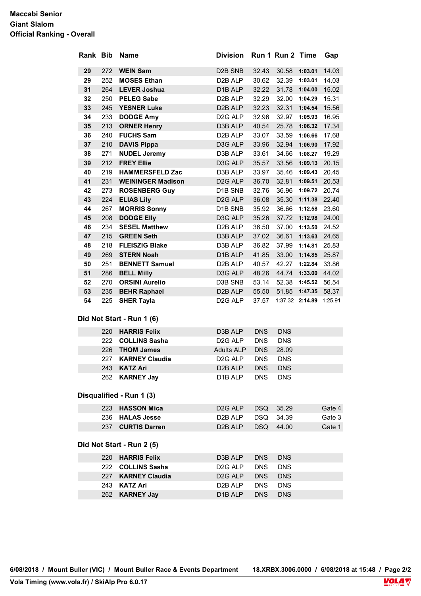#### **Maccabi Senior Giant Slalom Official Ranking - Overall**

|    |     | Rank Bib Name             | <b>Division</b>                  |            | Run 1 Run 2 Time              |                     | Gap    |
|----|-----|---------------------------|----------------------------------|------------|-------------------------------|---------------------|--------|
| 29 | 272 | <b>WEIN Sam</b>           | D <sub>2</sub> B SN <sub>B</sub> | 32.43      |                               | 30.58 1:03.01 14.03 |        |
| 29 | 252 | <b>MOSES Ethan</b>        | D2B ALP                          | 30.62      |                               | 32.39 1:03.01 14.03 |        |
| 31 | 264 | <b>LEVER Joshua</b>       | D1B ALP                          | 32.22      |                               | 31.78 1:04.00 15.02 |        |
| 32 | 250 | <b>PELEG Sabe</b>         | D2B ALP                          | 32.29      |                               | 32.00 1:04.29       | 15.31  |
| 33 |     | 245 YESNER Luke           | D <sub>2</sub> B ALP             | 32.23      |                               | 32.31 1:04.54 15.56 |        |
| 34 | 233 | <b>DODGE Amy</b>          | D <sub>2G</sub> ALP              | 32.96      |                               | 32.97 1:05.93 16.95 |        |
| 35 | 213 | <b>ORNER Henry</b>        | D3B ALP                          | 40.54      |                               | 25.78 1:06.32 17.34 |        |
| 36 | 240 | <b>FUCHS Sam</b>          | D <sub>2</sub> B ALP             | 33.07      | 33.59                         | 1:06.66             | 17.68  |
| 37 | 210 | <b>DAVIS Pippa</b>        | D3G ALP                          | 33.96      | 32.94                         | 1:06.90             | 17.92  |
| 38 | 271 | <b>NUDEL Jeremy</b>       | D3B ALP                          | 33.61      |                               | 34.66 1:08.27 19.29 |        |
| 39 | 212 | <b>FREY Ellie</b>         | D3G ALP                          | 35.57      |                               | 33.56 1:09.13 20.15 |        |
| 40 | 219 | <b>HAMMERSFELD Zac</b>    | D3B ALP                          | 33.97      |                               | 35.46 1:09.43 20.45 |        |
| 41 |     | 231 WEININGER Madison     | D <sub>2G</sub> ALP              | 36.70      |                               | 32.81 1:09.51 20.53 |        |
| 42 | 273 | <b>ROSENBERG Guy</b>      | D1B SNB                          | 32.76      |                               | 36.96 1:09.72 20.74 |        |
| 43 | 224 | <b>ELIAS Lily</b>         | D <sub>2G</sub> ALP              | 36.08      |                               | 35.30 1:11.38 22.40 |        |
| 44 | 267 | <b>MORRIS Sonny</b>       | D1B SNB                          | 35.92      |                               | 36.66 1:12.58 23.60 |        |
| 45 | 208 | <b>DODGE Elly</b>         | D3G ALP                          | 35.26      |                               | 37.72 1:12.98 24.00 |        |
| 46 | 234 | <b>SESEL Matthew</b>      | D2B ALP                          | 36.50      |                               | 37.00 1:13.50 24.52 |        |
| 47 | 215 | <b>GREEN Seth</b>         | D3B ALP                          | 37.02      |                               | 36.61 1:13.63 24.65 |        |
| 48 | 218 | <b>FLEISZIG Blake</b>     | D3B ALP                          | 36.82      |                               | 37.99 1:14.81 25.83 |        |
| 49 | 269 | <b>STERN Noah</b>         | D1B ALP                          | 41.85      |                               | 33.00 1:14.85 25.87 |        |
| 50 | 251 | <b>BENNETT Samuel</b>     | D2B ALP                          | 40.57      |                               | 42.27 1:22.84 33.86 |        |
| 51 | 286 | <b>BELL Milly</b>         | D3G ALP                          | 48.26      |                               | 44.74 1:33.00 44.02 |        |
| 52 | 270 | <b>ORSINI Aurelio</b>     | D3B SNB                          | 53.14      |                               | 52.38 1:45.52 56.54 |        |
| 53 | 235 | <b>BEHR Raphael</b>       | D <sub>2</sub> B ALP             |            | 55.50 51.85 1:47.35 58.37     |                     |        |
| 54 |     | 225 SHER Tayla            | D <sub>2G</sub> ALP              |            | 37.57 1:37.32 2:14.89 1:25.91 |                     |        |
|    |     | Did Not Start - Run 1 (6) |                                  |            |                               |                     |        |
|    |     | 220 HARRIS Felix          | D3B ALP                          | <b>DNS</b> | <b>DNS</b>                    |                     |        |
|    | 222 | <b>COLLINS Sasha</b>      | D <sub>2</sub> G ALP             | <b>DNS</b> | <b>DNS</b>                    |                     |        |
|    |     | 226 THOM James            | <b>Adults ALP</b>                | <b>DNS</b> | 28.09                         |                     |        |
|    | 227 | <b>KARNEY Claudia</b>     | D <sub>2</sub> G ALP             | <b>DNS</b> | <b>DNS</b>                    |                     |        |
|    |     | 243 KATZ Ari              | D <sub>2</sub> B ALP             | <b>DNS</b> | <b>DNS</b>                    |                     |        |
|    | 262 | <b>KARNEY Jay</b>         | D <sub>1</sub> B ALP             | <b>DNS</b> | <b>DNS</b>                    |                     |        |
|    |     | Disqualified - Run 1 (3)  |                                  |            |                               |                     |        |
|    | 223 | <b>HASSON Mica</b>        | D <sub>2</sub> G ALP             | <b>DSQ</b> | 35.29                         |                     | Gate 4 |
|    | 236 | <b>HALAS Jesse</b>        | D <sub>2</sub> B ALP             | <b>DSQ</b> | 34.39                         |                     | Gate 3 |
|    |     | 237 CURTIS Darren         | D <sub>2</sub> B ALP             | <b>DSQ</b> | 44.00                         |                     | Gate 1 |
|    |     | Did Not Start - Run 2 (5) |                                  |            |                               |                     |        |
|    | 220 | <b>HARRIS Felix</b>       | D3B ALP                          | <b>DNS</b> | <b>DNS</b>                    |                     |        |
|    | 222 | <b>COLLINS Sasha</b>      | D <sub>2</sub> G ALP             | <b>DNS</b> | <b>DNS</b>                    |                     |        |
|    | 227 | <b>KARNEY Claudia</b>     | D <sub>2G</sub> ALP              | <b>DNS</b> | <b>DNS</b>                    |                     |        |
|    | 243 | <b>KATZ Ari</b>           | D <sub>2</sub> B ALP             | <b>DNS</b> | <b>DNS</b>                    |                     |        |
|    | 262 | <b>KARNEY Jay</b>         | D <sub>1</sub> B ALP             | <b>DNS</b> | <b>DNS</b>                    |                     |        |
|    |     |                           |                                  |            |                               |                     |        |

**6/08/2018 / Mount Buller (VIC) / Mount Buller Race & Events Department 18.XRBX.3006.0000 / 6/08/2018 at 15:48 / Page 2/2**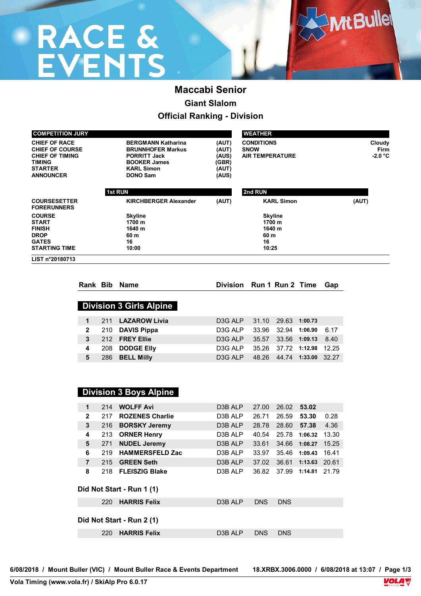# **RACE &<br>EVENTS**

### **Maccabi Senior Giant Slalom Official Ranking - Division**

| <b>COMPETITION JURY</b>                                                                                                         |                                                                                                                                             |                                                                                                                  | <b>WEATHER</b>    |                                    |
|---------------------------------------------------------------------------------------------------------------------------------|---------------------------------------------------------------------------------------------------------------------------------------------|------------------------------------------------------------------------------------------------------------------|-------------------|------------------------------------|
| <b>CHIEF OF RACE</b><br><b>CHIEF OF COURSE</b><br><b>CHIEF OF TIMING</b><br><b>TIMING</b><br><b>STARTER</b><br><b>ANNOUNCER</b> | <b>BERGMANN Katharina</b><br><b>BRUNNHOFER Markus</b><br><b>PORRITT Jack</b><br><b>BOOKER James</b><br><b>KARL Simon</b><br><b>DONO Sam</b> | <b>CONDITIONS</b><br>(AUT)<br><b>SNOW</b><br>(AUT)<br><b>AIR TEMPERATURE</b><br>(AUS)<br>(GBR)<br>(AUT)<br>(AUS) |                   | Cloudy<br><b>Firm</b><br>$-2.0 °C$ |
|                                                                                                                                 | <b>1st RUN</b>                                                                                                                              |                                                                                                                  | 2nd RUN           |                                    |
| <b>COURSESETTER</b><br><b>FORERUNNERS</b>                                                                                       | <b>KIRCHBERGER Alexander</b>                                                                                                                | (AUT)                                                                                                            | <b>KARL Simon</b> | (AUT)                              |
| <b>COURSE</b>                                                                                                                   | <b>Skyline</b>                                                                                                                              |                                                                                                                  | <b>Skyline</b>    |                                    |
| <b>START</b>                                                                                                                    | 1700 m                                                                                                                                      |                                                                                                                  | 1700 m            |                                    |
| <b>FINISH</b>                                                                                                                   | 1640 m                                                                                                                                      |                                                                                                                  | 1640 m            |                                    |
| <b>DROP</b>                                                                                                                     | 60 m                                                                                                                                        |                                                                                                                  | 60 m              |                                    |
| <b>GATES</b>                                                                                                                    | 16                                                                                                                                          |                                                                                                                  | 16                |                                    |
| <b>STARTING TIME</b>                                                                                                            | 10:00                                                                                                                                       |                                                                                                                  | 10:25             |                                    |
| LIST n°20180713                                                                                                                 |                                                                                                                                             |                                                                                                                  |                   |                                    |

|                      |     | Rank Bib Name                  | Division Run 1 Run 2 Time |       |                     |               | Gap   |
|----------------------|-----|--------------------------------|---------------------------|-------|---------------------|---------------|-------|
|                      |     |                                |                           |       |                     |               |       |
|                      |     | <b>Division 3 Girls Alpine</b> |                           |       |                     |               |       |
| $\blacktriangleleft$ | 211 | <b>LAZAROW Livia</b>           | D <sub>3</sub> G ALP      | 31.10 | 29.63               | 1:00.73       |       |
| $\mathbf{2}$         |     | 210 DAVIS Pippa                | D <sub>3</sub> G ALP      |       | 33.96 32.94 1:06.90 |               | 6.17  |
| 3                    |     | 212 FREY Ellie                 | D <sub>3</sub> G ALP      | 35.57 |                     | 33.56 1:09.13 | 8.40  |
| 4                    | 208 | <b>DODGE EIIV</b>              | D <sub>3</sub> G ALP      | 35.26 |                     | 37.72 1:12.98 | 12.25 |
| 5                    | 286 | <b>BELL Milly</b>              | D <sub>3</sub> G ALP      |       | 48.26 44.74 1:33.00 |               | 32.27 |
|                      |     |                                |                           |       |                     |               |       |

|                |     | <b>Division 3 Boys Alpine</b> |                      |            |            |         |       |
|----------------|-----|-------------------------------|----------------------|------------|------------|---------|-------|
| 1              | 214 | <b>WOLFF Avi</b>              | D3B ALP              | 27.00      | 26.02      | 53.02   |       |
| $\mathbf{2}$   | 217 | <b>ROZENES Charlie</b>        | D3B ALP              | 26.71      | 26.59      | 53.30   | 0.28  |
| 3              | 216 | <b>BORSKY Jeremy</b>          | D3B ALP              | 28.78      | 28.60      | 57.38   | 4.36  |
| 4              | 213 | <b>ORNER Henry</b>            | D3B ALP              | 40.54      | 25.78      | 1:06.32 | 13.30 |
| 5              | 271 | <b>NUDEL Jeremy</b>           | D3B ALP              | 33.61      | 34.66      | 1:08.27 | 15.25 |
| 6              | 219 | <b>HAMMERSFELD Zac</b>        | D3B ALP              | 33.97      | 35.46      | 1:09.43 | 16.41 |
| $\overline{7}$ | 215 | <b>GREEN Seth</b>             | D3B ALP              | 37.02      | 36.61      | 1:13.63 | 20.61 |
| 8              | 218 | <b>FLEISZIG Blake</b>         | D3B ALP              | 36.82      | 37.99      | 1:14.81 | 21.79 |
|                |     | Did Not Start - Run 1 (1)     |                      |            |            |         |       |
|                | 220 | <b>HARRIS Felix</b>           | D <sub>3</sub> B ALP | <b>DNS</b> | <b>DNS</b> |         |       |
|                |     | Did Not Start - Run 2 (1)     |                      |            |            |         |       |
|                | 220 | <b>HARRIS Felix</b>           | D <sub>3</sub> B ALP | <b>DNS</b> | <b>DNS</b> |         |       |

**6/08/2018 / Mount Buller (VIC) / Mount Buller Race & Events Department 18.XRBX.3006.0000 / 6/08/2018 at 13:07 / Page 1/3**

**Mt Bullel**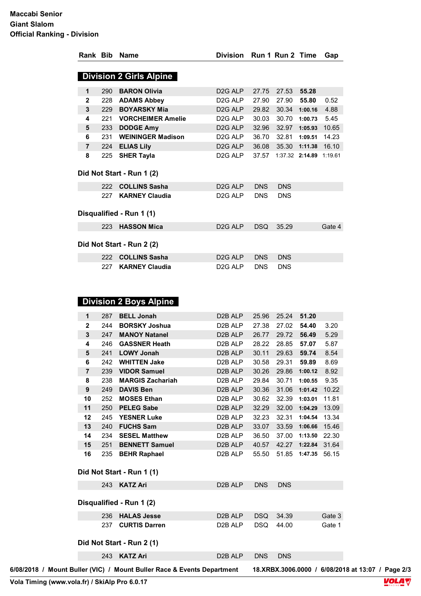| <b>Division 2 Girls Alpine</b><br><b>BARON Olivia</b><br>27.53<br>290<br>D <sub>2G</sub> ALP<br>27.75<br>55.28<br>1<br><b>ADAMS Abbey</b><br>$\mathbf{2}$<br>D <sub>2G</sub> ALP<br>27.90<br>27.90<br>55.80<br>228<br>0.52<br><b>BOYARSKY Mia</b><br>30.34 1:00.16<br>229<br>D <sub>2G</sub> ALP<br>29.82<br>4.88<br>3<br><b>VORCHEIMER Amelie</b><br>D <sub>2G</sub> ALP<br>30.03<br>30.70<br>5.45<br>221<br>1:00.73<br>4<br><b>DODGE Amy</b><br>D <sub>2G</sub> ALP<br>32.97 1:05.93<br>233<br>32.96<br>10.65<br>5<br><b>WEININGER Madison</b><br>D <sub>2G</sub> ALP<br>36.70<br>32.81<br>6<br>231<br>1:09.51<br>14.23<br>35.30 1:11.38 16.10<br>224<br><b>ELIAS Lily</b><br>D <sub>2G</sub> ALP<br>36.08<br>$\overline{7}$<br>8<br><b>SHER Tayla</b><br>D <sub>2G</sub> ALP<br>37.57<br>225<br>1:37.32 2:14.89 1:19.61 |
|----------------------------------------------------------------------------------------------------------------------------------------------------------------------------------------------------------------------------------------------------------------------------------------------------------------------------------------------------------------------------------------------------------------------------------------------------------------------------------------------------------------------------------------------------------------------------------------------------------------------------------------------------------------------------------------------------------------------------------------------------------------------------------------------------------------------------|
|                                                                                                                                                                                                                                                                                                                                                                                                                                                                                                                                                                                                                                                                                                                                                                                                                            |
|                                                                                                                                                                                                                                                                                                                                                                                                                                                                                                                                                                                                                                                                                                                                                                                                                            |
|                                                                                                                                                                                                                                                                                                                                                                                                                                                                                                                                                                                                                                                                                                                                                                                                                            |
|                                                                                                                                                                                                                                                                                                                                                                                                                                                                                                                                                                                                                                                                                                                                                                                                                            |
|                                                                                                                                                                                                                                                                                                                                                                                                                                                                                                                                                                                                                                                                                                                                                                                                                            |
|                                                                                                                                                                                                                                                                                                                                                                                                                                                                                                                                                                                                                                                                                                                                                                                                                            |
|                                                                                                                                                                                                                                                                                                                                                                                                                                                                                                                                                                                                                                                                                                                                                                                                                            |
|                                                                                                                                                                                                                                                                                                                                                                                                                                                                                                                                                                                                                                                                                                                                                                                                                            |
|                                                                                                                                                                                                                                                                                                                                                                                                                                                                                                                                                                                                                                                                                                                                                                                                                            |
|                                                                                                                                                                                                                                                                                                                                                                                                                                                                                                                                                                                                                                                                                                                                                                                                                            |
| Did Not Start - Run 1 (2)                                                                                                                                                                                                                                                                                                                                                                                                                                                                                                                                                                                                                                                                                                                                                                                                  |
| 222 COLLINS Sasha<br>D <sub>2G</sub> ALP<br><b>DNS</b><br><b>DNS</b>                                                                                                                                                                                                                                                                                                                                                                                                                                                                                                                                                                                                                                                                                                                                                       |
| <b>KARNEY Claudia</b><br>227<br>D <sub>2G</sub> ALP<br><b>DNS</b><br><b>DNS</b>                                                                                                                                                                                                                                                                                                                                                                                                                                                                                                                                                                                                                                                                                                                                            |
| Disqualified - Run 1 (1)                                                                                                                                                                                                                                                                                                                                                                                                                                                                                                                                                                                                                                                                                                                                                                                                   |
| <b>HASSON Mica</b><br>D <sub>2G</sub> ALP<br><b>DSQ</b><br>35.29<br>Gate 4<br>223                                                                                                                                                                                                                                                                                                                                                                                                                                                                                                                                                                                                                                                                                                                                          |
| Did Not Start - Run 2 (2)                                                                                                                                                                                                                                                                                                                                                                                                                                                                                                                                                                                                                                                                                                                                                                                                  |
| <b>COLLINS Sasha</b><br>D <sub>2G</sub> ALP<br><b>DNS</b><br><b>DNS</b><br>222                                                                                                                                                                                                                                                                                                                                                                                                                                                                                                                                                                                                                                                                                                                                             |
| <b>KARNEY Claudia</b><br>D <sub>2G</sub> ALP<br><b>DNS</b><br>227<br><b>DNS</b>                                                                                                                                                                                                                                                                                                                                                                                                                                                                                                                                                                                                                                                                                                                                            |

### **Division 2 Boys Alpine**

| 1              | 287 | <b>BELL Jonah</b>         | D <sub>2</sub> B ALP | 25.96 | 25.24 | 51.20   |       |
|----------------|-----|---------------------------|----------------------|-------|-------|---------|-------|
| $\mathbf{2}$   | 244 | <b>BORSKY Joshua</b>      | D <sub>2</sub> B ALP | 27.38 | 27.02 | 54.40   | 3.20  |
| 3              | 247 | <b>MANOY Natanel</b>      | D <sub>2</sub> B ALP | 26.77 | 29.72 | 56.49   | 5.29  |
| 4              | 246 | <b>GASSNER Heath</b>      | D <sub>2</sub> B ALP | 28.22 | 28.85 | 57.07   | 5.87  |
| 5              | 241 | <b>LOWY Jonah</b>         | D <sub>2</sub> B ALP | 30.11 | 29.63 | 59.74   | 8.54  |
| 6              | 242 | <b>WHITTEN Jake</b>       | D <sub>2</sub> B ALP | 30.58 | 29.31 | 59.89   | 8.69  |
| $\overline{7}$ | 239 | <b>VIDOR Samuel</b>       | D <sub>2</sub> B ALP | 30.26 | 29.86 | 1:00.12 | 8.92  |
| 8              | 238 | <b>MARGIS Zachariah</b>   | D <sub>2</sub> B ALP | 29.84 | 30.71 | 1:00.55 | 9.35  |
| 9              | 249 | <b>DAVIS Ben</b>          | D <sub>2</sub> B ALP | 30.36 | 31.06 | 1:01.42 | 10.22 |
| 10             | 252 | <b>MOSES Ethan</b>        | D <sub>2</sub> B ALP | 30.62 | 32.39 | 1:03.01 | 11.81 |
| 11             | 250 | <b>PELEG Sabe</b>         | D <sub>2</sub> B ALP | 32.29 | 32.00 | 1:04.29 | 13.09 |
| 12             | 245 | <b>YESNER Luke</b>        | D <sub>2</sub> B ALP | 32.23 | 32.31 | 1:04.54 | 13.34 |
| 13             | 240 | <b>FUCHS Sam</b>          | D <sub>2</sub> B ALP | 33.07 | 33.59 | 1:06.66 | 15.46 |
| 14             | 234 | <b>SESEL Matthew</b>      | D <sub>2</sub> B ALP | 36.50 | 37.00 | 1:13.50 | 22.30 |
| 15             | 251 | <b>BENNETT Samuel</b>     | D <sub>2</sub> B ALP | 40.57 | 42.27 | 1:22.84 | 31.64 |
| 16             | 235 | <b>BEHR Raphael</b>       | D <sub>2</sub> B ALP | 55.50 | 51.85 | 1:47.35 | 56.15 |
|                |     | Did Not Start - Run 1 (1) |                      |       |       |         |       |

| 243<br>KATZ Ari             | D <sub>2</sub> B ALP  | <b>DNS</b> | <b>DNS</b> |        |
|-----------------------------|-----------------------|------------|------------|--------|
| Disqualified - Run 1 (2)    |                       |            |            |        |
| <b>HALAS Jesse</b><br>236   | D <sub>2</sub> B ALP  | <b>DSQ</b> | 34.39      | Gate 3 |
| <b>CURTIS Darren</b><br>237 | D <sub>2</sub> B AI P | DSQ.       | 44.00      | Gate 1 |
| Did Not Start - Run 2 (1)   |                       |            |            |        |
| 243<br><b>KATZ Ari</b>      | D <sub>2</sub> B ALP  | <b>DNS</b> | <b>DNS</b> |        |

**6/08/2018 / Mount Buller (VIC) / Mount Buller Race & Events Department 18.XRBX.3006.0000 / 6/08/2018 at 13:07 / Page 2/3**

**Vola Timing (www.vola.fr) / SkiAlp Pro 6.0.17**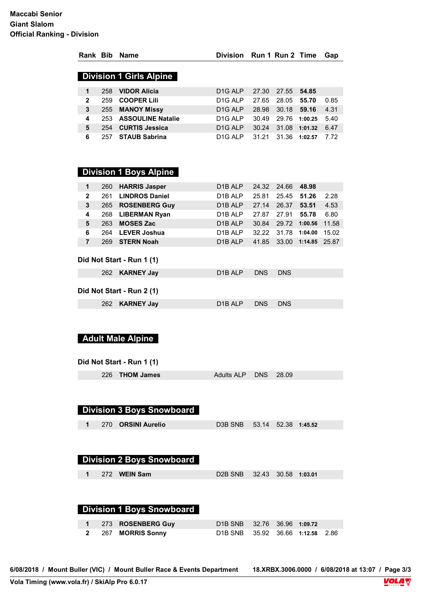|                |     | Rank Bib Name                                         | Division Run 1 Run 2 Time        |            |                     |               | Gap   |
|----------------|-----|-------------------------------------------------------|----------------------------------|------------|---------------------|---------------|-------|
|                |     | <b>Division 1 Girls Alpine</b>                        |                                  |            |                     |               |       |
| 1              | 258 | <b>VIDOR Alicia</b>                                   | D <sub>1G</sub> ALP              | 27.30      | 27.55               | 54.85         |       |
| $\mathbf{2}$   |     | 259 COOPER Lili                                       | D1G ALP                          | 27.65      | 28.05               | 55.70         | 0.85  |
| 3              |     | 255 MANOY Missy                                       | D <sub>1G</sub> ALP              | 28.98      |                     | 30.18 59.16   | 4.31  |
| 4              |     | 253 ASSOULINE Natalie                                 | D <sub>1G</sub> ALP              | 30.49      |                     | 29.76 1:00.25 | 5.40  |
| 5              |     | 254 CURTIS Jessica                                    | D <sub>1G</sub> ALP              | 30.24      |                     | 31.08 1:01.32 | 6.47  |
| 6              |     | 257 STAUB Sabrina                                     | D <sub>1G</sub> ALP              | 31.21      |                     | 31.36 1:02.57 | 7.72  |
|                |     |                                                       |                                  |            |                     |               |       |
|                |     | <b>Division 1 Boys Alpine</b>                         |                                  |            |                     |               |       |
| 1              |     | 260 HARRIS Jasper                                     | D1B ALP                          | 24.32      | 24.66 48.98         |               |       |
| $\mathbf{2}$   |     | 261 LINDROS Daniel                                    | D1B ALP                          | 25.81      | 25.45               | 51.26         | 2.28  |
| 3              |     | 265 ROSENBERG Guy                                     | D1B ALP                          | 27.14      | 26.37 53.51         |               | 4.53  |
| 4              |     | 268 LIBERMAN Ryan                                     | D1B ALP                          | 27.87      | 27.91               | 55.78         | 6.80  |
| 5              |     | 263 MOSES Zac                                         | D1B ALP                          | 30.84      |                     | 29.72 1:00.56 | 11.58 |
| 6              |     | 264 LEVER Joshua                                      | D1B ALP                          | 32.22      |                     | 31.78 1:04.00 | 15.02 |
| $\overline{7}$ |     | 269 STERN Noah                                        | D <sub>1</sub> B ALP             | 41.85      |                     | 33.00 1:14.85 | 25.87 |
|                |     | Did Not Start - Run 1 (1)                             |                                  |            |                     |               |       |
|                |     | 262 KARNEY Jay                                        | D1B ALP                          | <b>DNS</b> | <b>DNS</b>          |               |       |
|                |     | Did Not Start - Run 2 (1)                             |                                  |            |                     |               |       |
|                |     | 262 KARNEY Jay                                        | D <sub>1</sub> B ALP             | <b>DNS</b> | <b>DNS</b>          |               |       |
|                |     | <b>Adult Male Alpine</b><br>Did Not Start - Run 1 (1) |                                  |            |                     |               |       |
|                |     | 226 THOM James<br><b>Division 3 Boys Snowboard</b>    | <b>Adults ALP</b>                | <b>DNS</b> | 28.09               |               |       |
| 1              |     | 270 ORSINI Aurelio                                    | D3B SNB                          | 53.14      |                     | 52.38 1:45.52 |       |
|                |     |                                                       |                                  |            |                     |               |       |
|                |     | Division 2 Boys Snowboard                             |                                  |            |                     |               |       |
| 1              |     | 272 WEIN Sam                                          | D <sub>2</sub> B SN <sub>B</sub> |            | 32.43 30.58 1:03.01 |               |       |
|                |     |                                                       |                                  |            |                     |               |       |
|                |     |                                                       |                                  |            |                     |               |       |

#### **Division 1 Boys Snowboard**

|  | 1 273 ROSENBERG Guy | D1B SNB 32.76 36.96 1:09.72      |  |  |
|--|---------------------|----------------------------------|--|--|
|  | 2 267 MORRIS Sonny  | D1B SNB 35.92 36.66 1:12.58 2.86 |  |  |

**6/08/2018 / Mount Buller (VIC) / Mount Buller Race & Events Department 18.XRBX.3006.0000 / 6/08/2018 at 13:07 / Page 3/3**

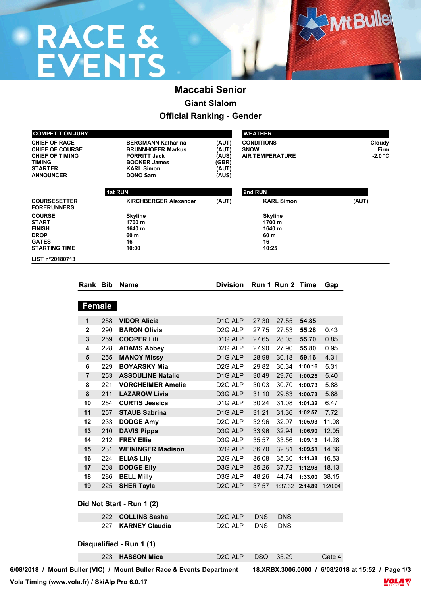# RACE &<br>EVENTS

## **Maccabi Senior Giant Slalom Official Ranking - Gender**

| <b>COMPETITION JURY</b>                                                                                                         |                |            |                                                                                                                                             |                                                    | <b>WEATHER</b>                                             |                                    |                     |              |                           |  |
|---------------------------------------------------------------------------------------------------------------------------------|----------------|------------|---------------------------------------------------------------------------------------------------------------------------------------------|----------------------------------------------------|------------------------------------------------------------|------------------------------------|---------------------|--------------|---------------------------|--|
| <b>CHIEF OF RACE</b><br><b>CHIEF OF COURSE</b><br><b>CHIEF OF TIMING</b><br><b>TIMING</b><br><b>STARTER</b><br><b>ANNOUNCER</b> |                |            | <b>BERGMANN Katharina</b><br><b>BRUNNHOFER Markus</b><br><b>PORRITT Jack</b><br><b>BOOKER James</b><br><b>KARL Simon</b><br><b>DONO Sam</b> | (AUT)<br>(AUT)<br>(AUS)<br>(GBR)<br>(AUT)<br>(AUS) | <b>CONDITIONS</b><br><b>SNOW</b><br><b>AIR TEMPERATURE</b> |                                    |                     |              | Cloudy<br>Firm<br>-2.0 °C |  |
|                                                                                                                                 |                |            | <b>1st RUN</b>                                                                                                                              |                                                    | 2nd RUN                                                    |                                    |                     |              |                           |  |
| <b>COURSESETTER</b>                                                                                                             |                |            | <b>KIRCHBERGER Alexander</b>                                                                                                                | (AUT)                                              |                                                            | <b>KARL Simon</b>                  |                     |              | (AUT)                     |  |
| <b>FORERUNNERS</b><br><b>COURSE</b><br><b>START</b><br><b>FINISH</b><br><b>DROP</b>                                             |                |            | <b>Skyline</b><br>1700 m<br>1640 m<br>60 m                                                                                                  |                                                    | 60 m                                                       | <b>Skyline</b><br>1700 m<br>1640 m |                     |              |                           |  |
| <b>GATES</b><br><b>STARTING TIME</b>                                                                                            |                |            | 16<br>10:00                                                                                                                                 |                                                    | 16<br>10:25                                                |                                    |                     |              |                           |  |
| LIST n°20180713                                                                                                                 |                |            |                                                                                                                                             |                                                    |                                                            |                                    |                     |              |                           |  |
|                                                                                                                                 |                |            |                                                                                                                                             |                                                    |                                                            |                                    |                     |              |                           |  |
|                                                                                                                                 |                |            | Rank Bib Name                                                                                                                               |                                                    | Division Run 1 Run 2 Time                                  |                                    |                     | Gap          |                           |  |
|                                                                                                                                 |                |            |                                                                                                                                             |                                                    |                                                            |                                    |                     |              |                           |  |
|                                                                                                                                 | <b>Female</b>  |            |                                                                                                                                             |                                                    |                                                            |                                    |                     |              |                           |  |
|                                                                                                                                 |                |            |                                                                                                                                             |                                                    |                                                            |                                    |                     |              |                           |  |
|                                                                                                                                 | 1              | 258        | <b>VIDOR Alicia</b>                                                                                                                         | D <sub>1G</sub> ALP                                | 27.30                                                      | 27.55                              | 54.85               |              |                           |  |
|                                                                                                                                 | $\mathbf{2}$   | 290        | <b>BARON Olivia</b>                                                                                                                         | D <sub>2</sub> G ALP                               | 27.75                                                      | 27.53                              | 55.28               | 0.43         |                           |  |
|                                                                                                                                 | 3<br>4         | 259<br>228 | <b>COOPER Lili</b>                                                                                                                          | D <sub>1G</sub> ALP<br>D <sub>2</sub> G ALP        | 27.65<br>27.90                                             | 28.05<br>27.90                     | 55.70<br>55.80      | 0.85<br>0.95 |                           |  |
|                                                                                                                                 | 5              | 255        | <b>ADAMS Abbey</b><br><b>MANOY Missy</b>                                                                                                    | D <sub>1G</sub> ALP                                | 28.98                                                      | 30.18                              | 59.16               | 4.31         |                           |  |
|                                                                                                                                 | 6              | 229        | <b>BOYARSKY Mia</b>                                                                                                                         | D <sub>2G</sub> ALP                                | 29.82                                                      | 30.34                              | 1:00.16             | 5.31         |                           |  |
|                                                                                                                                 | $\overline{7}$ | 253        | <b>ASSOULINE Natalie</b>                                                                                                                    | D <sub>1G</sub> ALP                                | 30.49                                                      | 29.76                              | 1:00.25             | 5.40         |                           |  |
|                                                                                                                                 | 8              | 221        | <b>VORCHEIMER Amelie</b>                                                                                                                    | D <sub>2</sub> G ALP                               | 30.03                                                      | 30.70                              | 1:00.73             | 5.88         |                           |  |
|                                                                                                                                 | 8              | 211        | <b>LAZAROW Livia</b>                                                                                                                        | D3G ALP                                            | 31.10                                                      |                                    | 29.63 1:00.73       | 5.88         |                           |  |
|                                                                                                                                 | 10             | 254        | <b>CURTIS Jessica</b>                                                                                                                       | D <sub>1G</sub> ALP                                | 30.24                                                      |                                    | 31.08 1:01.32       | 6.47         |                           |  |
|                                                                                                                                 | 11             | 257        | <b>STAUB Sabrina</b>                                                                                                                        | D <sub>1G</sub> ALP                                | 31.21                                                      |                                    | 31.36 1:02.57       | 7.72         |                           |  |
|                                                                                                                                 | 12             | 233        | <b>DODGE Amy</b>                                                                                                                            | D <sub>2G</sub> ALP                                | 32.96                                                      |                                    | 32.97 1:05.93       | 11.08        |                           |  |
|                                                                                                                                 | 13             | 210        | <b>DAVIS Pippa</b>                                                                                                                          | D3G ALP                                            | 33.96                                                      | 32.94                              | 1:06.90             | 12.05        |                           |  |
|                                                                                                                                 | 14             | 212        | <b>FREY Ellie</b>                                                                                                                           | D3G ALP                                            | 35.57                                                      |                                    | 33.56 1:09.13       | 14.28        |                           |  |
|                                                                                                                                 | 15             |            | 231 WEININGER Madison                                                                                                                       | D <sub>2</sub> G ALP                               |                                                            | 36.70 32.81 1:09.51 14.66          |                     |              |                           |  |
|                                                                                                                                 | 16             | 224        | <b>ELIAS Lily</b>                                                                                                                           | D <sub>2G</sub> ALP                                | 36.08                                                      |                                    | 35.30 1:11.38 16.53 |              |                           |  |
|                                                                                                                                 | 17             | 208        | <b>DODGE Elly</b>                                                                                                                           | D3G ALP                                            | 35.26                                                      | 37.72 1:12.98 18.13                |                     |              |                           |  |
|                                                                                                                                 | 18             | 286        | <b>BELL Milly</b>                                                                                                                           | D3G ALP                                            | 48.26                                                      | 44.74 1:33.00 38.15                |                     |              |                           |  |
|                                                                                                                                 | 19             |            | 225 SHER Tayla                                                                                                                              | D <sub>2G</sub> ALP                                |                                                            | 37.57 1:37.32 2:14.89 1:20.04      |                     |              |                           |  |
|                                                                                                                                 |                |            | Did Not Start - Run 1 (2)                                                                                                                   |                                                    |                                                            |                                    |                     |              |                           |  |
|                                                                                                                                 |                |            |                                                                                                                                             |                                                    |                                                            |                                    |                     |              |                           |  |
|                                                                                                                                 |                |            | 222 COLLINS Sasha                                                                                                                           | D <sub>2G</sub> ALP                                | <b>DNS</b>                                                 | <b>DNS</b>                         |                     |              |                           |  |
|                                                                                                                                 |                |            |                                                                                                                                             |                                                    |                                                            |                                    |                     |              |                           |  |
|                                                                                                                                 |                |            | 227 KARNEY Claudia                                                                                                                          | D <sub>2</sub> G ALP                               | <b>DNS</b>                                                 | <b>DNS</b>                         |                     |              |                           |  |
|                                                                                                                                 |                |            | Disqualified - Run 1 (1)                                                                                                                    |                                                    |                                                            |                                    |                     |              |                           |  |
|                                                                                                                                 |                | 223        | <b>HASSON Mica</b>                                                                                                                          | D <sub>2G</sub> ALP                                | DSQ                                                        | 35.29                              |                     | Gate 4       |                           |  |

**Vola Timing (www.vola.fr) / SkiAlp Pro 6.0.17**

**Ant Bullet**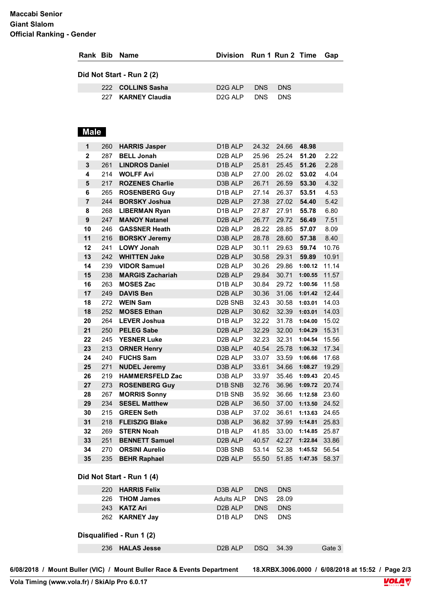#### **Maccabi Senior Giant Slalom Official Ranking - Gender**

|              |            | Rank Bib Name                             | <b>Division</b>                              |                | Run 1 Run 2 Time          |                     | Gap            |
|--------------|------------|-------------------------------------------|----------------------------------------------|----------------|---------------------------|---------------------|----------------|
|              |            | Did Not Start - Run 2 (2)                 |                                              |                |                           |                     |                |
|              | 222        | <b>COLLINS Sasha</b>                      | D <sub>2</sub> G ALP                         | <b>DNS</b>     | <b>DNS</b>                |                     |                |
|              | 227        | <b>KARNEY Claudia</b>                     | D <sub>2G</sub> ALP                          | <b>DNS</b>     | <b>DNS</b>                |                     |                |
| <b>Male</b>  |            |                                           |                                              |                |                           |                     |                |
| 1            | 260        | <b>HARRIS Jasper</b>                      | D <sub>1</sub> B ALP                         | 24.32          | 24.66                     | 48.98               |                |
| $\mathbf{2}$ | 287        | <b>BELL Jonah</b>                         | D2B ALP                                      | 25.96          | 25.24                     | 51.20               | 2.22           |
| 3            | 261        | <b>LINDROS Daniel</b>                     | D1B ALP                                      | 25.81          | 25.45                     | 51.26               | 2.28           |
| 4            | 214        | <b>WOLFF Avi</b>                          | D3B ALP                                      | 27.00          | 26.02                     | 53.02               | 4.04           |
| 5            | 217        | <b>ROZENES Charlie</b>                    | D3B ALP                                      | 26.71          | 26.59                     | 53.30               | 4.32           |
| 6            | 265        | <b>ROSENBERG Guy</b>                      | D <sub>1</sub> B ALP                         | 27.14          | 26.37                     | 53.51               | 4.53           |
| 7            | 244        | <b>BORSKY Joshua</b>                      | D <sub>2</sub> B ALP                         | 27.38          | 27.02                     | 54.40               | 5.42           |
| 8            | 268        | <b>LIBERMAN Ryan</b>                      | D1B ALP                                      | 27.87          | 27.91                     | 55.78               | 6.80           |
| 9            | 247        | <b>MANOY Natanel</b>                      | D2B ALP                                      | 26.77          | 29.72                     | 56.49               | 7.51           |
| 10           | 246        | <b>GASSNER Heath</b>                      | D2B ALP                                      | 28.22          | 28.85                     | 57.07               | 8.09           |
| 11           | 216        | <b>BORSKY Jeremy</b><br><b>LOWY Jonah</b> | D3B ALP                                      | 28.78          | 28.60                     | 57.38               | 8.40           |
| 12<br>13     | 241<br>242 | <b>WHITTEN Jake</b>                       | D <sub>2</sub> B ALP<br>D <sub>2</sub> B ALP | 30.11<br>30.58 | 29.63<br>29.31            | 59.74<br>59.89      | 10.76<br>10.91 |
| 14           | 239        | <b>VIDOR Samuel</b>                       | D2B ALP                                      | 30.26          | 29.86                     | 1:00.12 11.14       |                |
| 15           | 238        | <b>MARGIS Zachariah</b>                   | D <sub>2</sub> B ALP                         | 29.84          | 30.71                     | 1:00.55             | 11.57          |
| 16           | 263        | <b>MOSES Zac</b>                          | D1B ALP                                      | 30.84          | 29.72                     | 1:00.56 11.58       |                |
| 17           | 249        | <b>DAVIS Ben</b>                          | D <sub>2</sub> B ALP                         | 30.36          |                           | 31.06 1:01.42 12.44 |                |
| 18           | 272        | <b>WEIN Sam</b>                           | D <sub>2</sub> B SN <sub>B</sub>             | 32.43          |                           | 30.58 1:03.01 14.03 |                |
| 18           | 252        | <b>MOSES Ethan</b>                        | D <sub>2</sub> B ALP                         | 30.62          |                           | 32.39 1:03.01       | 14.03          |
| 20           | 264        | <b>LEVER Joshua</b>                       | D1B ALP                                      | 32.22          | 31.78                     | 1:04.00 15.02       |                |
| 21           | 250        | <b>PELEG Sabe</b>                         | D2B ALP                                      | 32.29          |                           | 32.00 1:04.29       | 15.31          |
| 22           | 245        | <b>YESNER Luke</b>                        | D2B ALP                                      | 32.23          | 32.31                     | 1:04.54             | 15.56          |
| 23           | 213        | <b>ORNER Henry</b>                        | D3B ALP                                      | 40.54          |                           | 25.78 1:06.32 17.34 |                |
| 24           |            | 240 FUCHS Sam                             | D <sub>2</sub> B ALP                         | 33.07          |                           | 33.59 1:06.66 17.68 |                |
| 25           | 271        | <b>NUDEL Jeremy</b>                       | D3B ALP                                      | 33.61          |                           | 34.66 1:08.27 19.29 |                |
| 26           | 219        | <b>HAMMERSFELD Zac</b>                    | D3B ALP                                      | 33.97          |                           | 35.46 1:09.43 20.45 |                |
| 27           | 273        | <b>ROSENBERG Guy</b>                      | D1B SNB                                      | 32.76          |                           | 36.96 1:09.72 20.74 |                |
| 28           | 267        | <b>MORRIS Sonny</b>                       | D1B SNB                                      | 35.92          |                           | 36.66 1:12.58 23.60 |                |
| 29           |            | 234 SESEL Matthew                         | D2B ALP                                      | 36.50          |                           | 37.00 1:13.50 24.52 |                |
| 30           |            | 215 GREEN Seth                            | D3B ALP                                      | 37.02          |                           | 36.61 1:13.63 24.65 |                |
| 31           |            | 218 FLEISZIG Blake                        | D3B ALP                                      |                | 36.82 37.99 1:14.81 25.83 |                     |                |
| 32           | 269        | <b>STERN Noah</b>                         | D1B ALP                                      | 41.85          |                           | 33.00 1:14.85 25.87 |                |
| 33           | 251        | <b>BENNETT Samuel</b>                     | D2B ALP                                      | 40.57          |                           | 42.27 1:22.84 33.86 |                |
| 34           | 270        | <b>ORSINI Aurelio</b>                     | D3B SNB                                      | 53.14          |                           | 52.38 1:45.52 56.54 |                |
| 35           |            | 235 BEHR Raphael                          | D <sub>2</sub> B ALP                         |                | 55.50 51.85 1:47.35 58.37 |                     |                |
|              |            | Did Not Start - Run 1 (4)                 |                                              |                |                           |                     |                |
|              |            | 220 HARRIS Felix                          | D3B ALP                                      | <b>DNS</b>     | <b>DNS</b>                |                     |                |
|              |            | 226 THOM James                            | <b>Adults ALP</b>                            | <b>DNS</b>     | 28.09                     |                     |                |
|              | 243        | <b>KATZ Ari</b>                           | D2B ALP                                      | <b>DNS</b>     | <b>DNS</b>                |                     |                |
|              | 262        | <b>KARNEY Jay</b>                         | D1B ALP                                      | <b>DNS</b>     | <b>DNS</b>                |                     |                |
|              |            | Disqualified - Run 1 (2)                  |                                              |                |                           |                     |                |
|              |            | 236 HALAS Jesse                           | D <sub>2</sub> B ALP                         |                | DSQ 34.39                 |                     | Gate 3         |

**6/08/2018 / Mount Buller (VIC) / Mount Buller Race & Events Department 18.XRBX.3006.0000 / 6/08/2018 at 15:52 / Page 2/3**

18.XRBX.3006.0000 / 6/08/2018 at 15:52 / Page 2/3<br>**VOLA**